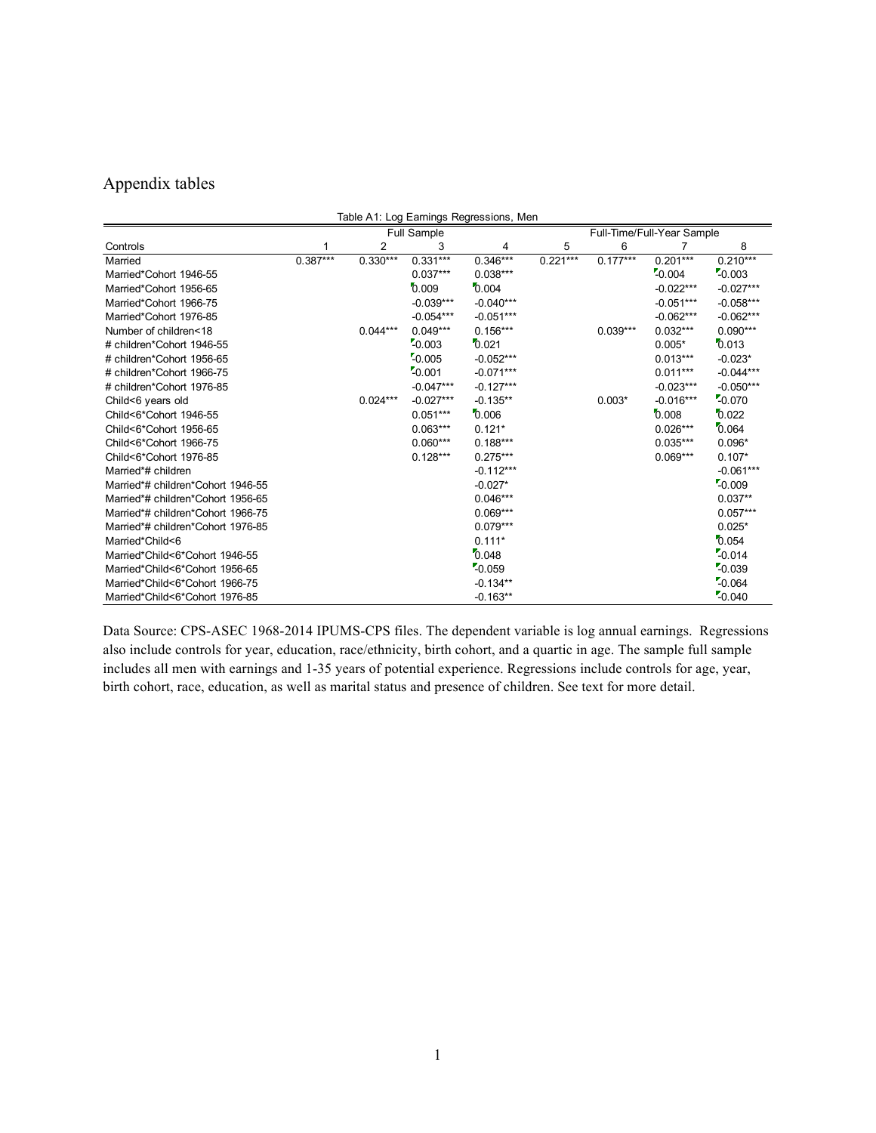## Appendix tables

| Table A1: Log Earnings Regressions, Men |            |                |             |             |            |                            |             |             |  |  |
|-----------------------------------------|------------|----------------|-------------|-------------|------------|----------------------------|-------------|-------------|--|--|
|                                         |            | Full Sample    |             |             |            | Full-Time/Full-Year Sample |             |             |  |  |
| Controls                                |            | $\overline{2}$ | 3           | 4           | 5          | 6                          |             | 8           |  |  |
| Married                                 | $0.387***$ | $0.330***$     | $0.331***$  | $0.346***$  | $0.221***$ | $0.177***$                 | $0.201***$  | $0.210***$  |  |  |
| Married*Cohort 1946-55                  |            |                | $0.037***$  | $0.038***$  |            |                            | $-0.004$    | $-0.003$    |  |  |
| Married*Cohort 1956-65                  |            |                | 0.009       | 0.004       |            |                            | $-0.022***$ | $-0.027***$ |  |  |
| Married*Cohort 1966-75                  |            |                | $-0.039***$ | $-0.040***$ |            |                            | $-0.051***$ | $-0.058***$ |  |  |
| Married*Cohort 1976-85                  |            |                | $-0.054***$ | $-0.051***$ |            |                            | $-0.062***$ | $-0.062***$ |  |  |
| Number of children<18                   |            | $0.044***$     | $0.049***$  | $0.156***$  |            | $0.039***$                 | $0.032***$  | $0.090***$  |  |  |
| # children*Cohort 1946-55               |            |                | $-0.003$    | 0.021       |            |                            | $0.005*$    | 0.013       |  |  |
| # children*Cohort 1956-65               |            |                | $-0.005$    | $-0.052***$ |            |                            | $0.013***$  | $-0.023*$   |  |  |
| # children*Cohort 1966-75               |            |                | $-0.001$    | $-0.071***$ |            |                            | $0.011***$  | $-0.044***$ |  |  |
| # children*Cohort 1976-85               |            |                | $-0.047***$ | $-0.127***$ |            |                            | $-0.023***$ | $-0.050***$ |  |  |
| Child<6 years old                       |            | $0.024***$     | $-0.027***$ | $-0.135**$  |            | $0.003*$                   | $-0.016***$ | $-0.070$    |  |  |
| Child<6*Cohort 1946-55                  |            |                | $0.051***$  | 0.006       |            |                            | 0.008       | 0.022       |  |  |
| Child<6*Cohort 1956-65                  |            |                | $0.063***$  | $0.121*$    |            |                            | $0.026***$  | 0.064       |  |  |
| Child<6*Cohort 1966-75                  |            |                | $0.060***$  | $0.188***$  |            |                            | $0.035***$  | $0.096*$    |  |  |
| Child<6*Cohort 1976-85                  |            |                | $0.128***$  | $0.275***$  |            |                            | $0.069***$  | $0.107*$    |  |  |
| Married*# children                      |            |                |             | $-0.112***$ |            |                            |             | $-0.061***$ |  |  |
| Married*# children*Cohort 1946-55       |            |                |             | $-0.027*$   |            |                            |             | $-0.009$    |  |  |
| Married*# children*Cohort 1956-65       |            |                |             | $0.046***$  |            |                            |             | $0.037**$   |  |  |
| Married*# children*Cohort 1966-75       |            |                |             | $0.069***$  |            |                            |             | $0.057***$  |  |  |
| Married*# children*Cohort 1976-85       |            |                |             | $0.079***$  |            |                            |             | $0.025*$    |  |  |
| Married*Child<6                         |            |                |             | $0.111*$    |            |                            |             | 0.054       |  |  |
| Married*Child<6*Cohort 1946-55          |            |                |             | 0.048       |            |                            |             | $-0.014$    |  |  |
| Married*Child<6*Cohort 1956-65          |            |                |             | $-0.059$    |            |                            |             | $-0.039$    |  |  |
| Married*Child<6*Cohort 1966-75          |            |                |             | $-0.134**$  |            |                            |             | $-0.064$    |  |  |
| Married*Child<6*Cohort 1976-85          |            |                |             | $-0.163**$  |            |                            |             | $-0.040$    |  |  |

Data Source: CPS-ASEC 1968-2014 IPUMS-CPS files. The dependent variable is log annual earnings. Regressions also include controls for year, education, race/ethnicity, birth cohort, and a quartic in age. The sample full sample includes all men with earnings and 1-35 years of potential experience. Regressions include controls for age, year, birth cohort, race, education, as well as marital status and presence of children. See text for more detail.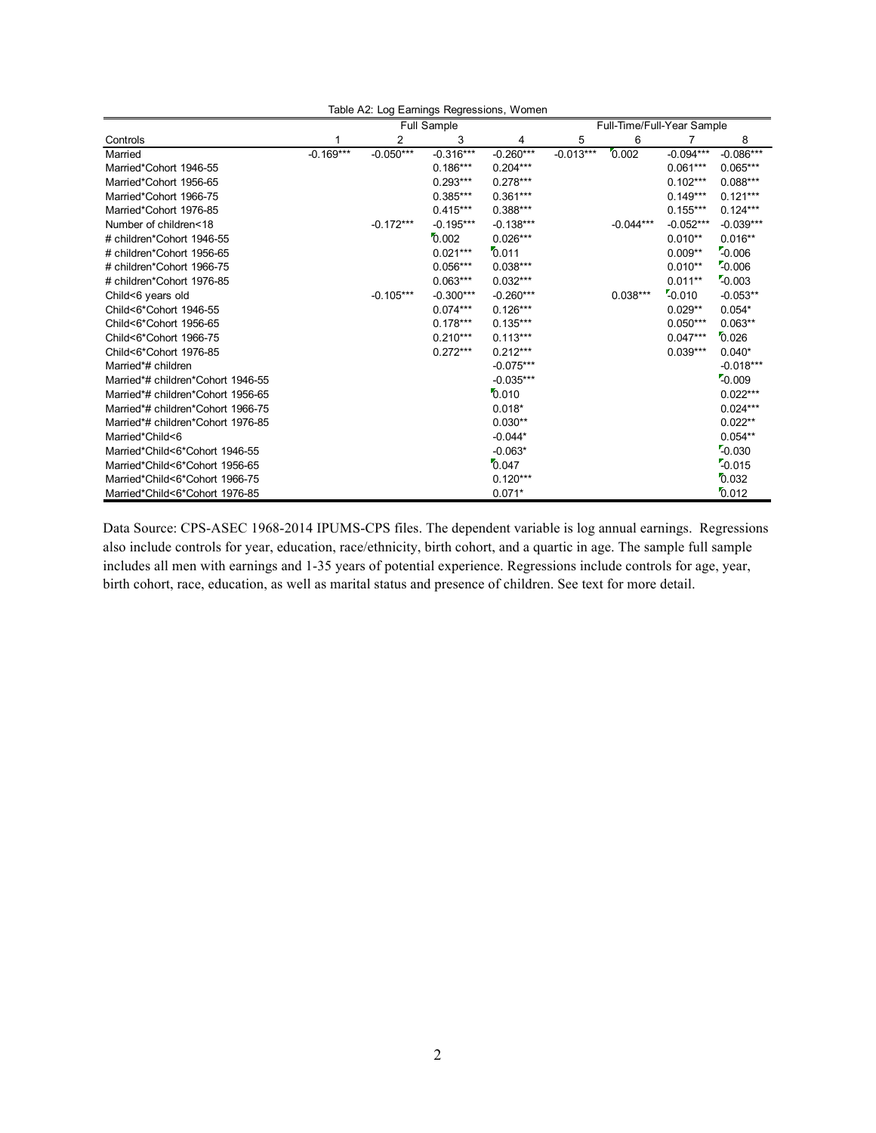| Table A2: Log Earnings Regressions, Women |             |                |             |             |                            |             |             |             |  |
|-------------------------------------------|-------------|----------------|-------------|-------------|----------------------------|-------------|-------------|-------------|--|
|                                           | Full Sample |                |             |             | Full-Time/Full-Year Sample |             |             |             |  |
| Controls                                  | 1           | $\overline{2}$ | 3           | 4           | 5                          | 6           |             | 8           |  |
| Married                                   | $-0.169***$ | $-0.050***$    | $-0.316***$ | $-0.260***$ | $-0.013***$                | 0.002       | $-0.094***$ | $-0.086***$ |  |
| Married*Cohort 1946-55                    |             |                | $0.186***$  | $0.204***$  |                            |             | $0.061***$  | $0.065***$  |  |
| Married*Cohort 1956-65                    |             |                | $0.293***$  | $0.278***$  |                            |             | $0.102***$  | $0.088***$  |  |
| Married*Cohort 1966-75                    |             |                | $0.385***$  | $0.361***$  |                            |             | $0.149***$  | $0.121***$  |  |
| Married*Cohort 1976-85                    |             |                | $0.415***$  | $0.388***$  |                            |             | $0.155***$  | $0.124***$  |  |
| Number of children<18                     |             | $-0.172***$    | $-0.195***$ | $-0.138***$ |                            | $-0.044***$ | $-0.052***$ | $-0.039***$ |  |
| # children*Cohort 1946-55                 |             |                | 0.002       | $0.026***$  |                            |             | $0.010**$   | $0.016**$   |  |
| # children*Cohort 1956-65                 |             |                | $0.021***$  | 0.011       |                            |             | $0.009**$   | $-0.006$    |  |
| # children*Cohort 1966-75                 |             |                | $0.056***$  | $0.038***$  |                            |             | $0.010**$   | $-0.006$    |  |
| # children*Cohort 1976-85                 |             |                | $0.063***$  | $0.032***$  |                            |             | $0.011**$   | $-0.003$    |  |
| Child<6 years old                         |             | $-0.105***$    | $-0.300***$ | $-0.260***$ |                            | $0.038***$  | $-0.010$    | $-0.053**$  |  |
| Child<6*Cohort 1946-55                    |             |                | $0.074***$  | $0.126***$  |                            |             | $0.029**$   | $0.054*$    |  |
| Child<6*Cohort 1956-65                    |             |                | $0.178***$  | $0.135***$  |                            |             | $0.050***$  | $0.063**$   |  |
| Child<6*Cohort 1966-75                    |             |                | $0.210***$  | $0.113***$  |                            |             | $0.047***$  | 0.026       |  |
| Child<6*Cohort 1976-85                    |             |                | $0.272***$  | $0.212***$  |                            |             | $0.039***$  | $0.040*$    |  |
| Married*# children                        |             |                |             | $-0.075***$ |                            |             |             | $-0.018***$ |  |
| Married*# children*Cohort 1946-55         |             |                |             | $-0.035***$ |                            |             |             | $-0.009$    |  |
| Married*# children*Cohort 1956-65         |             |                |             | 0.010       |                            |             |             | $0.022***$  |  |
| Married*# children*Cohort 1966-75         |             |                |             | $0.018*$    |                            |             |             | $0.024***$  |  |
| Married*# children*Cohort 1976-85         |             |                |             | $0.030**$   |                            |             |             | $0.022**$   |  |
| Married*Child<6                           |             |                |             | $-0.044*$   |                            |             |             | $0.054**$   |  |
| Married*Child<6*Cohort 1946-55            |             |                |             | $-0.063*$   |                            |             |             | $-0.030$    |  |
| Married*Child<6*Cohort 1956-65            |             |                |             | 0.047       |                            |             |             | $-0.015$    |  |
| Married*Child<6*Cohort 1966-75            |             |                |             | $0.120***$  |                            |             |             | 0.032       |  |
| Married*Child<6*Cohort 1976-85            |             |                |             | $0.071*$    |                            |             |             | 0.012       |  |

Data Source: CPS-ASEC 1968-2014 IPUMS-CPS files. The dependent variable is log annual earnings. Regressions also include controls for year, education, race/ethnicity, birth cohort, and a quartic in age. The sample full sample includes all men with earnings and 1-35 years of potential experience. Regressions include controls for age, year, birth cohort, race, education, as well as marital status and presence of children. See text for more detail.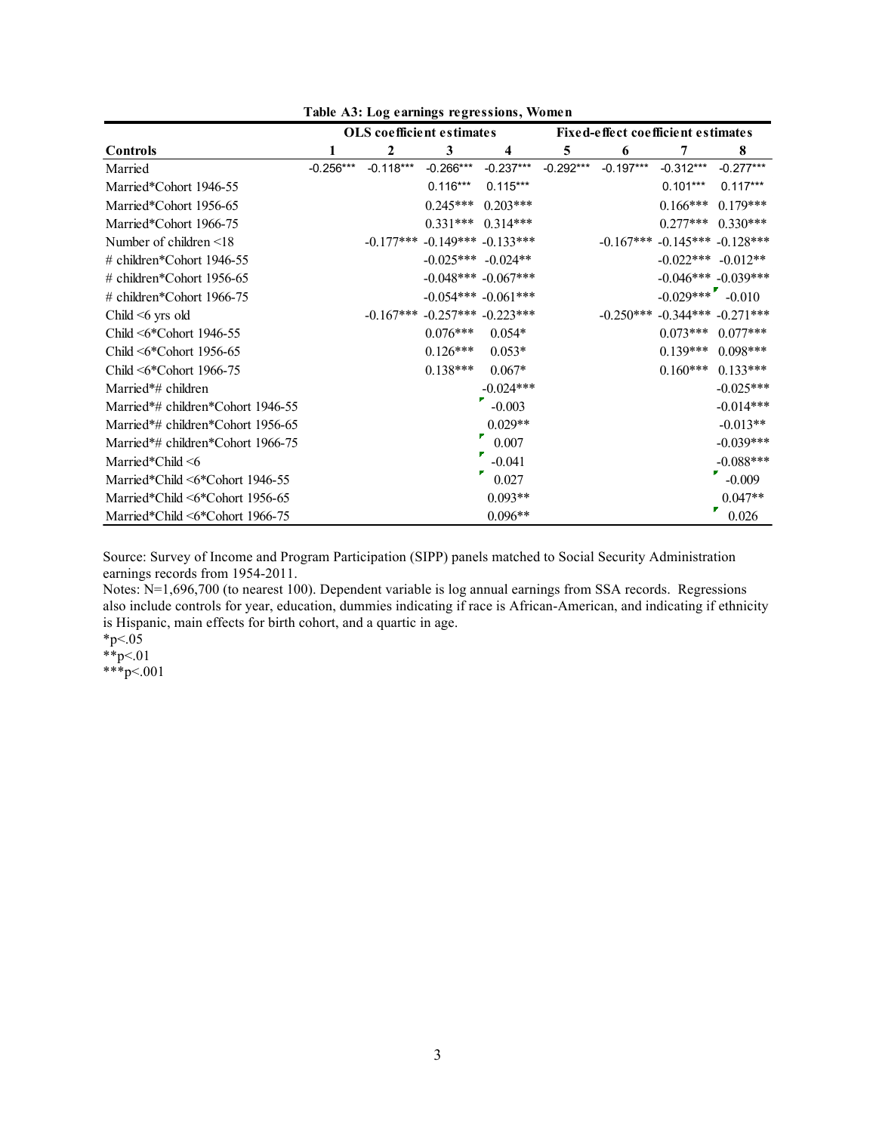|                                   | OLS coefficient estimates |             |                        |                                   | Fixed-effect coefficient estimates |             |                        |                         |  |
|-----------------------------------|---------------------------|-------------|------------------------|-----------------------------------|------------------------------------|-------------|------------------------|-------------------------|--|
| Controls                          |                           | 2           | 3                      | 4                                 | 5                                  | 6           | 7                      | 8                       |  |
| Married                           | $-0.256***$               | $-0.118***$ | $-0.266***$            | $-0.237***$                       | $-0.292***$                        | $-0.197***$ | $-0.312***$            | $-0.277***$             |  |
| Married*Cohort 1946-55            |                           |             | $0.116***$             | $0.115***$                        |                                    |             | $0.101***$             | $0.117***$              |  |
| Married*Cohort 1956-65            |                           |             | $0.245***$             | $0.203***$                        |                                    |             | $0.166***$             | $0.179***$              |  |
| Married*Cohort 1966-75            |                           |             | $0.331***$             | $0.314***$                        |                                    |             | $0.277***$             | $0.330***$              |  |
| Number of children <18            |                           | $-0.177***$ |                        | $-0.149***$ $-0.133***$           |                                    | $-0.167***$ |                        | $-0.145***$ $-0.128***$ |  |
| # children*Cohort 1946-55         |                           |             | $-0.025***$ $-0.024**$ |                                   |                                    |             | $-0.022***$ $-0.012**$ |                         |  |
| $\#$ children*Cohort 1956-65      |                           |             |                        | $-0.048***$ $-0.067***$           |                                    |             |                        | $-0.046***$ $-0.039***$ |  |
| # children*Cohort 1966-75         |                           |             |                        | $-0.054***$ $-0.061***$           |                                    |             | $-0.029***$            | $-0.010$                |  |
| Child $\leq 6$ yrs old            |                           | $-0.167***$ |                        | $-0.257***$ $-0.223***$           |                                    | $-0.250***$ |                        | $-0.344***$ $-0.271***$ |  |
| Child <6*Cohort 1946-55           |                           |             | $0.076***$             | $0.054*$                          |                                    |             | $0.073***$             | $0.077***$              |  |
| Child <6*Cohort 1956-65           |                           |             | $0.126***$             | $0.053*$                          |                                    |             | $0.139***$             | $0.098***$              |  |
| Child <6*Cohort 1966-75           |                           |             | $0.138***$             | $0.067*$                          |                                    |             | $0.160***$             | $0.133***$              |  |
| Married*# children                |                           |             |                        | $-0.024***$                       |                                    |             |                        | $-0.025***$             |  |
| Married*# children*Cohort 1946-55 |                           |             |                        | $-0.003$                          |                                    |             |                        | $-0.014***$             |  |
| Married*# children*Cohort 1956-65 |                           |             |                        | $0.029**$                         |                                    |             |                        | $-0.013**$              |  |
| Married*# children*Cohort 1966-75 |                           |             |                        | $\overline{\phantom{a}}$<br>0.007 |                                    |             |                        | $-0.039***$             |  |
| Married*Child $\leq 6$            |                           |             |                        | $-0.041$                          |                                    |             |                        | $-0.088***$             |  |
| Married*Child <6*Cohort 1946-55   |                           |             |                        | 0.027                             |                                    |             |                        | $-0.009$                |  |
| Married*Child <6*Cohort 1956-65   |                           |             |                        | $0.093**$                         |                                    |             |                        | $0.047**$               |  |
| Married*Child <6*Cohort 1966-75   |                           |             |                        | $0.096**$                         |                                    |             |                        | 0.026                   |  |

**Table A3: Log earnings regressions, Women**

Source: Survey of Income and Program Participation (SIPP) panels matched to Social Security Administration earnings records from 1954-2011.

Notes: N=1,696,700 (to nearest 100). Dependent variable is log annual earnings from SSA records. Regressions also include controls for year, education, dummies indicating if race is African-American, and indicating if ethnicity is Hispanic, main effects for birth cohort, and a quartic in age.

 $*p<.05$  $*^{*}p<.01$  $***p<.001$